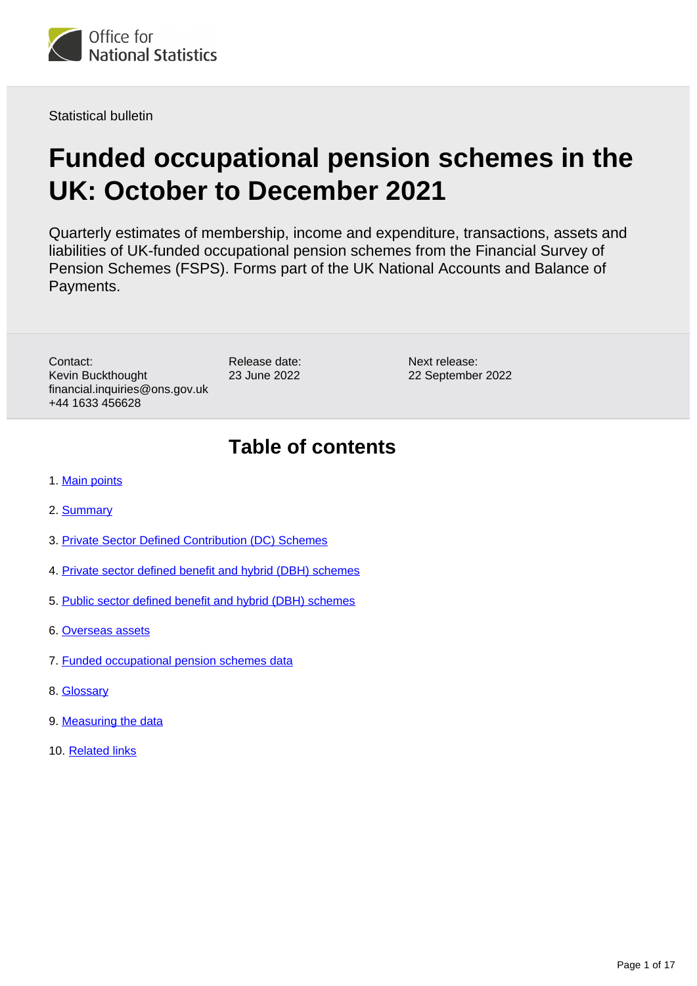

Statistical bulletin

# **Funded occupational pension schemes in the UK: October to December 2021**

Quarterly estimates of membership, income and expenditure, transactions, assets and liabilities of UK-funded occupational pension schemes from the Financial Survey of Pension Schemes (FSPS). Forms part of the UK National Accounts and Balance of Payments.

Contact: Kevin Buckthought financial.inquiries@ons.gov.uk +44 1633 456628

Release date: 23 June 2022

Next release: 22 September 2022

# **Table of contents**

- 1. [Main points](#page-1-0)
- 2. [Summary](#page-2-0)
- 3. [Private Sector Defined Contribution \(DC\) Schemes](#page-3-0)
- 4. [Private sector defined benefit and hybrid \(DBH\) schemes](#page-6-0)
- 5. [Public sector defined benefit and hybrid \(DBH\) schemes](#page-9-0)
- 6. [Overseas assets](#page-11-0)
- 7. [Funded occupational pension schemes data](#page-13-0)
- 8. [Glossary](#page-13-1)
- 9. [Measuring the data](#page-14-0)
- 10. [Related links](#page-16-0)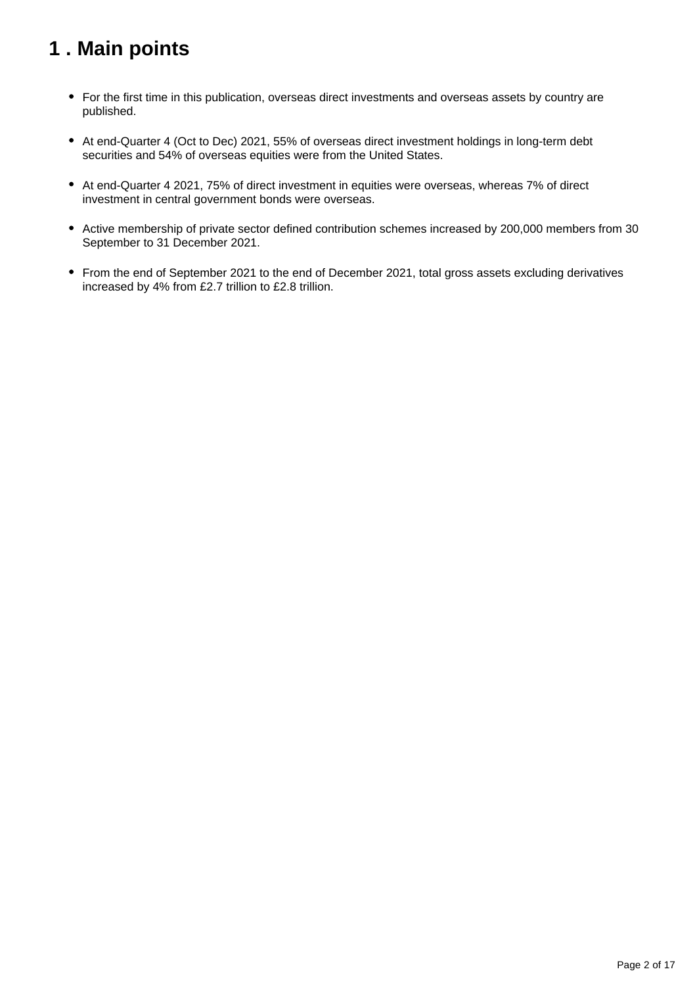# <span id="page-1-0"></span>**1 . Main points**

- For the first time in this publication, overseas direct investments and overseas assets by country are published.
- At end-Quarter 4 (Oct to Dec) 2021, 55% of overseas direct investment holdings in long-term debt securities and 54% of overseas equities were from the United States.
- At end-Quarter 4 2021, 75% of direct investment in equities were overseas, whereas 7% of direct investment in central government bonds were overseas.
- Active membership of private sector defined contribution schemes increased by 200,000 members from 30 September to 31 December 2021.
- From the end of September 2021 to the end of December 2021, total gross assets excluding derivatives increased by 4% from £2.7 trillion to £2.8 trillion.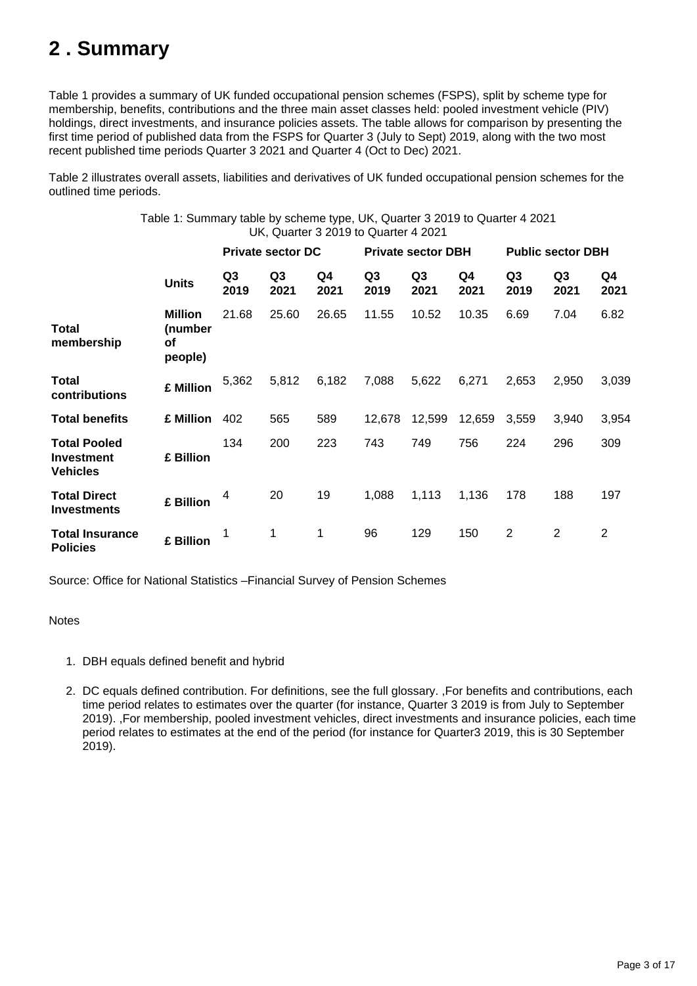# <span id="page-2-0"></span>**2 . Summary**

Table 1 provides a summary of UK funded occupational pension schemes (FSPS), split by scheme type for membership, benefits, contributions and the three main asset classes held: pooled investment vehicle (PIV) holdings, direct investments, and insurance policies assets. The table allows for comparison by presenting the first time period of published data from the FSPS for Quarter 3 (July to Sept) 2019, along with the two most recent published time periods Quarter 3 2021 and Quarter 4 (Oct to Dec) 2021.

Table 2 illustrates overall assets, liabilities and derivatives of UK funded occupational pension schemes for the outlined time periods.

> Table 1: Summary table by scheme type, UK, Quarter 3 2019 to Quarter 4 2021 UK, Quarter 3 2019 to Quarter 4 2021

|                                                             |                                                   |            | <b>Private sector DC</b> |            | <b>Private sector DBH</b> |            |            | <b>Public sector DBH</b> |                        |                |
|-------------------------------------------------------------|---------------------------------------------------|------------|--------------------------|------------|---------------------------|------------|------------|--------------------------|------------------------|----------------|
|                                                             | <b>Units</b>                                      | Q3<br>2019 | Q3<br>2021               | Q4<br>2021 | Q3<br>2019                | Q3<br>2021 | Q4<br>2021 | Q <sub>3</sub><br>2019   | Q <sub>3</sub><br>2021 | Q4<br>2021     |
| <b>Total</b><br>membership                                  | <b>Million</b><br>(number<br><b>of</b><br>people) | 21.68      | 25.60                    | 26.65      | 11.55                     | 10.52      | 10.35      | 6.69                     | 7.04                   | 6.82           |
| Total<br>contributions                                      | £ Million                                         | 5,362      | 5,812                    | 6,182      | 7,088                     | 5,622      | 6,271      | 2,653                    | 2,950                  | 3,039          |
| <b>Total benefits</b>                                       | £ Million                                         | 402        | 565                      | 589        | 12.678                    | 12,599     | 12,659     | 3.559                    | 3,940                  | 3,954          |
| <b>Total Pooled</b><br><b>Investment</b><br><b>Vehicles</b> | £ Billion                                         | 134        | 200                      | 223        | 743                       | 749        | 756        | 224                      | 296                    | 309            |
| <b>Total Direct</b><br><b>Investments</b>                   | £ Billion                                         | 4          | 20                       | 19         | 1,088                     | 1,113      | 1,136      | 178                      | 188                    | 197            |
| <b>Total Insurance</b><br><b>Policies</b>                   | £ Billion                                         | 1          | 1                        | 1          | 96                        | 129        | 150        | $\overline{2}$           | $\overline{2}$         | $\overline{2}$ |

Source: Office for National Statistics –Financial Survey of Pension Schemes

### Notes

- 1. DBH equals defined benefit and hybrid
- 2. DC equals defined contribution. For definitions, see the full glossary. ,For benefits and contributions, each time period relates to estimates over the quarter (for instance, Quarter 3 2019 is from July to September 2019). ,For membership, pooled investment vehicles, direct investments and insurance policies, each time period relates to estimates at the end of the period (for instance for Quarter3 2019, this is 30 September 2019).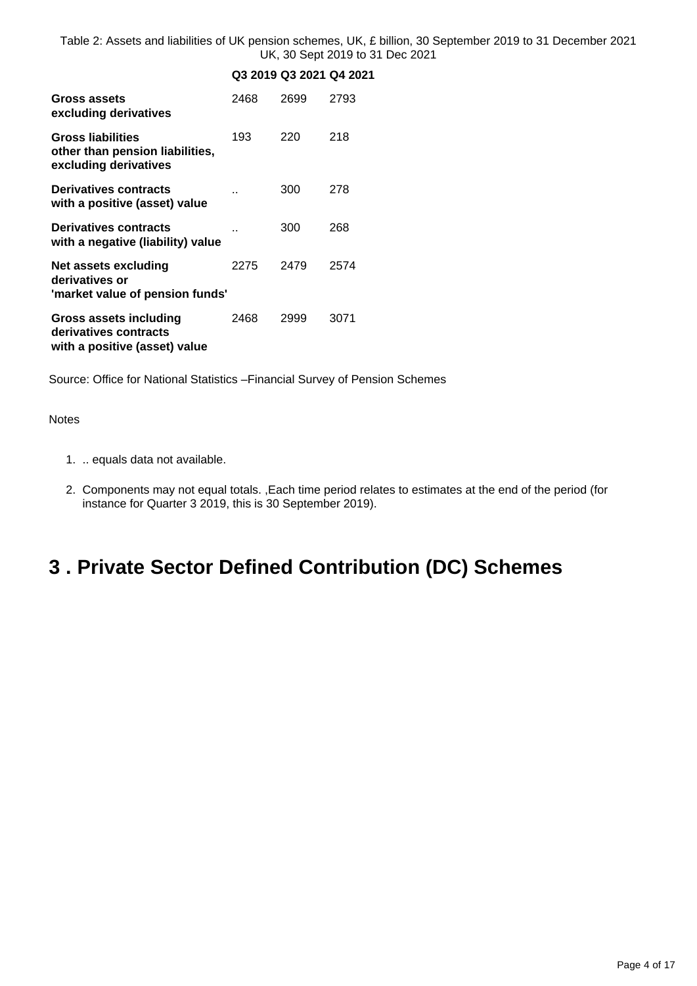Table 2: Assets and liabilities of UK pension schemes, UK, £ billion, 30 September 2019 to 31 December 2021 UK, 30 Sept 2019 to 31 Dec 2021

### **Q3 2019 Q3 2021 Q4 2021**

| Gross assets<br>excluding derivatives                                                | 2468 | 2699 | 2793 |
|--------------------------------------------------------------------------------------|------|------|------|
| <b>Gross liabilities</b><br>other than pension liabilities,<br>excluding derivatives | 193  | 220  | 218  |
| <b>Derivatives contracts</b><br>with a positive (asset) value                        |      | 300  | 278  |
| Derivatives contracts<br>with a negative (liability) value                           |      | 300  | 268  |
| Net assets excluding<br>derivatives or<br>'market value of pension funds'            | 2275 | 2479 | 2574 |
| Gross assets including<br>derivatives contracts<br>with a positive (asset) value     | 2468 | 2999 | 3071 |

Source: Office for National Statistics –Financial Survey of Pension Schemes

Notes

- 1. .. equals data not available.
- 2. Components may not equal totals. ,Each time period relates to estimates at the end of the period (for instance for Quarter 3 2019, this is 30 September 2019).

# <span id="page-3-0"></span>**3 . Private Sector Defined Contribution (DC) Schemes**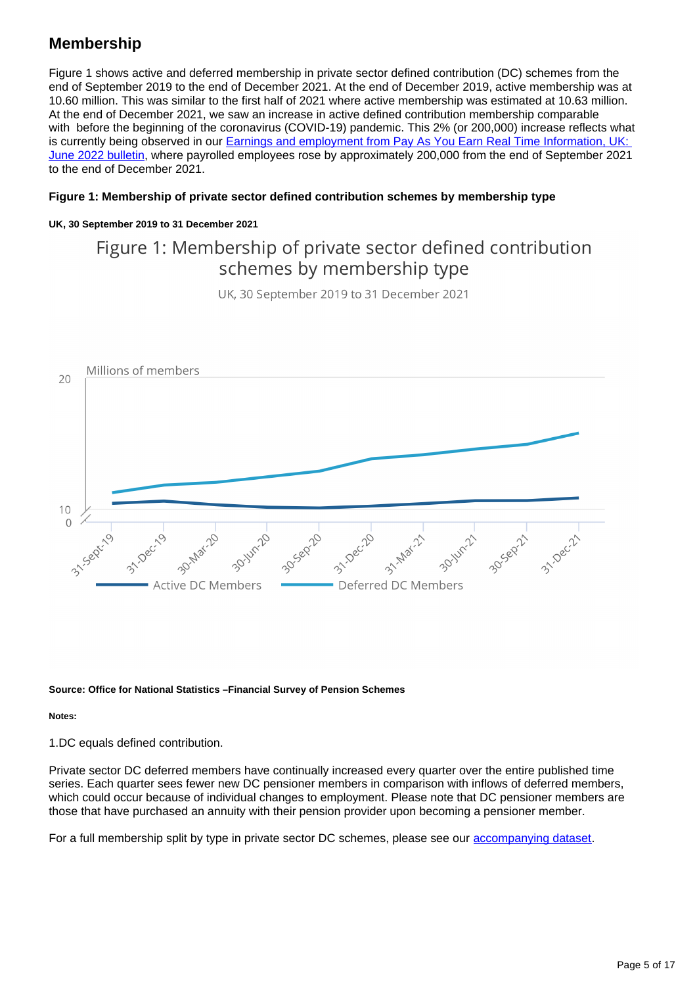## **Membership**

Figure 1 shows active and deferred membership in private sector defined contribution (DC) schemes from the end of September 2019 to the end of December 2021. At the end of December 2019, active membership was at 10.60 million. This was similar to the first half of 2021 where active membership was estimated at 10.63 million. At the end of December 2021, we saw an increase in active defined contribution membership comparable with before the beginning of the coronavirus (COVID-19) pandemic. This 2% (or 200,000) increase reflects what is currently being observed in our Earnings and employment from Pay As You Earn Real Time Information, UK: [June 2022 bulletin,](https://www.ons.gov.uk/employmentandlabourmarket/peopleinwork/earningsandworkinghours/bulletins/earningsandemploymentfrompayasyouearnrealtimeinformationuk/latest) where payrolled employees rose by approximately 200,000 from the end of September 2021 to the end of December 2021.

### **Figure 1: Membership of private sector defined contribution schemes by membership type**

### **UK, 30 September 2019 to 31 December 2021**

## Figure 1: Membership of private sector defined contribution schemes by membership type

UK, 30 September 2019 to 31 December 2021



#### **Source: Office for National Statistics –Financial Survey of Pension Schemes**

**Notes:**

1.DC equals defined contribution.

Private sector DC deferred members have continually increased every quarter over the entire published time series. Each quarter sees fewer new DC pensioner members in comparison with inflows of deferred members, which could occur because of individual changes to employment. Please note that DC pensioner members are those that have purchased an annuity with their pension provider upon becoming a pensioner member.

For a full membership split by type in private sector DC schemes, please see our **accompanying dataset**.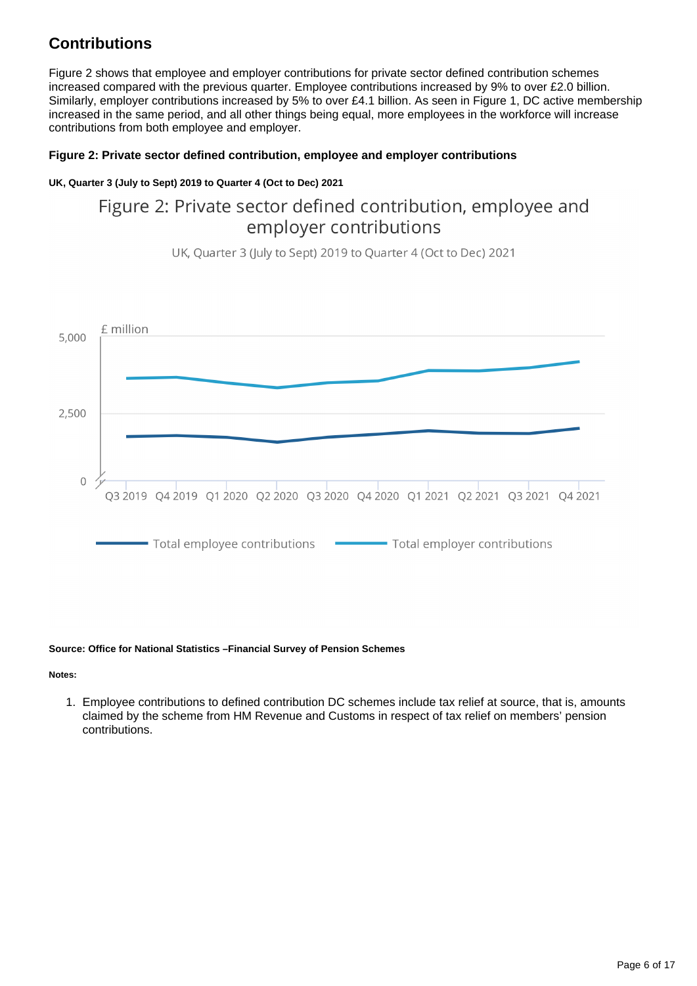## **Contributions**

Figure 2 shows that employee and employer contributions for private sector defined contribution schemes increased compared with the previous quarter. Employee contributions increased by 9% to over £2.0 billion. Similarly, employer contributions increased by 5% to over £4.1 billion. As seen in Figure 1, DC active membership increased in the same period, and all other things being equal, more employees in the workforce will increase contributions from both employee and employer.

### **Figure 2: Private sector defined contribution, employee and employer contributions**

### **UK, Quarter 3 (July to Sept) 2019 to Quarter 4 (Oct to Dec) 2021**

## Figure 2: Private sector defined contribution, employee and employer contributions

UK, Quarter 3 (July to Sept) 2019 to Quarter 4 (Oct to Dec) 2021



### **Source: Office for National Statistics –Financial Survey of Pension Schemes**

**Notes:**

1. Employee contributions to defined contribution DC schemes include tax relief at source, that is, amounts claimed by the scheme from HM Revenue and Customs in respect of tax relief on members' pension contributions.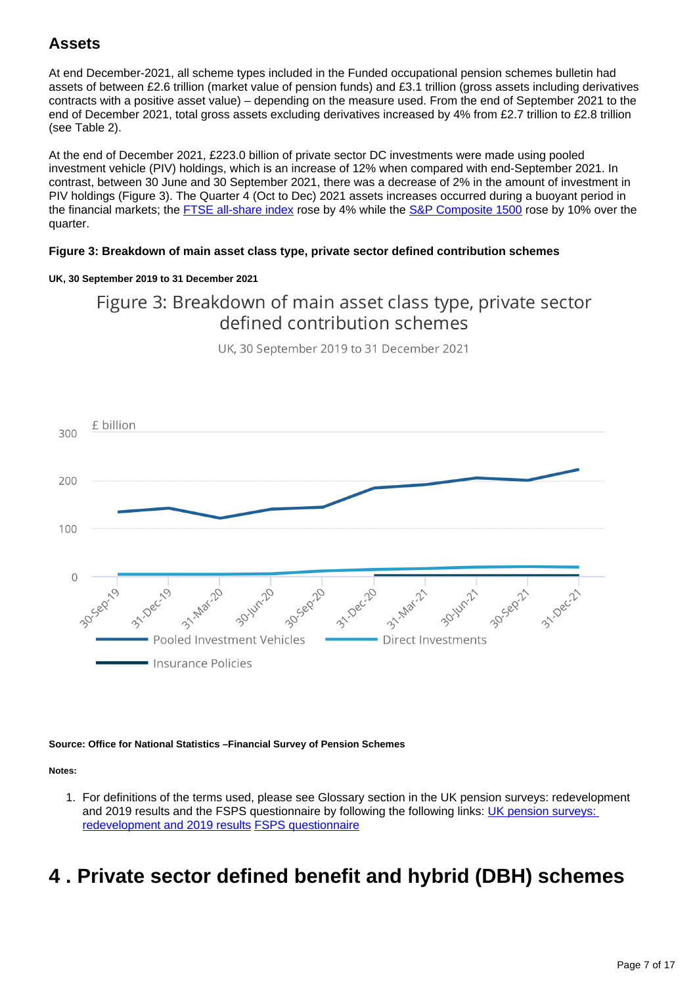## **Assets**

At end December-2021, all scheme types included in the Funded occupational pension schemes bulletin had assets of between £2.6 trillion (market value of pension funds) and £3.1 trillion (gross assets including derivatives contracts with a positive asset value) – depending on the measure used. From the end of September 2021 to the end of December 2021, total gross assets excluding derivatives increased by 4% from £2.7 trillion to £2.8 trillion (see Table 2).

At the end of December 2021, £223.0 billion of private sector DC investments were made using pooled investment vehicle (PIV) holdings, which is an increase of 12% when compared with end-September 2021. In contrast, between 30 June and 30 September 2021, there was a decrease of 2% in the amount of investment in PIV holdings (Figure 3). The Quarter 4 (Oct to Dec) 2021 assets increases occurred during a buoyant period in the financial markets; the **[FTSE all-share index](https://www.londonstockexchange.com/indices/ftse-all-share)** rose by 4% while the **[S&P Composite 1500](https://www.spglobal.com/spdji/en/indices/equity/sp-composite-1500/#overview)** rose by 10% over the quarter.

### **Figure 3: Breakdown of main asset class type, private sector defined contribution schemes**

### **UK, 30 September 2019 to 31 December 2021**

## Figure 3: Breakdown of main asset class type, private sector defined contribution schemes

UK, 30 September 2019 to 31 December 2021



#### **Source: Office for National Statistics –Financial Survey of Pension Schemes**

**Notes:**

1. For definitions of the terms used, please see Glossary section in the UK pension surveys: redevelopment and 2019 results and the FSPS questionnaire by following the following links: UK pension surveys: [redevelopment and 2019 results](https://www.ons.gov.uk/economy/investmentspensionsandtrusts/articles/ukpensionsurveys/redevelopmentand2019results#glossary) [FSPS questionnaire](https://www.ons.gov.uk/surveys/informationforbusinesses/businesssurveys/financialsurveyofpensionschemes)

# <span id="page-6-0"></span>**4 . Private sector defined benefit and hybrid (DBH) schemes**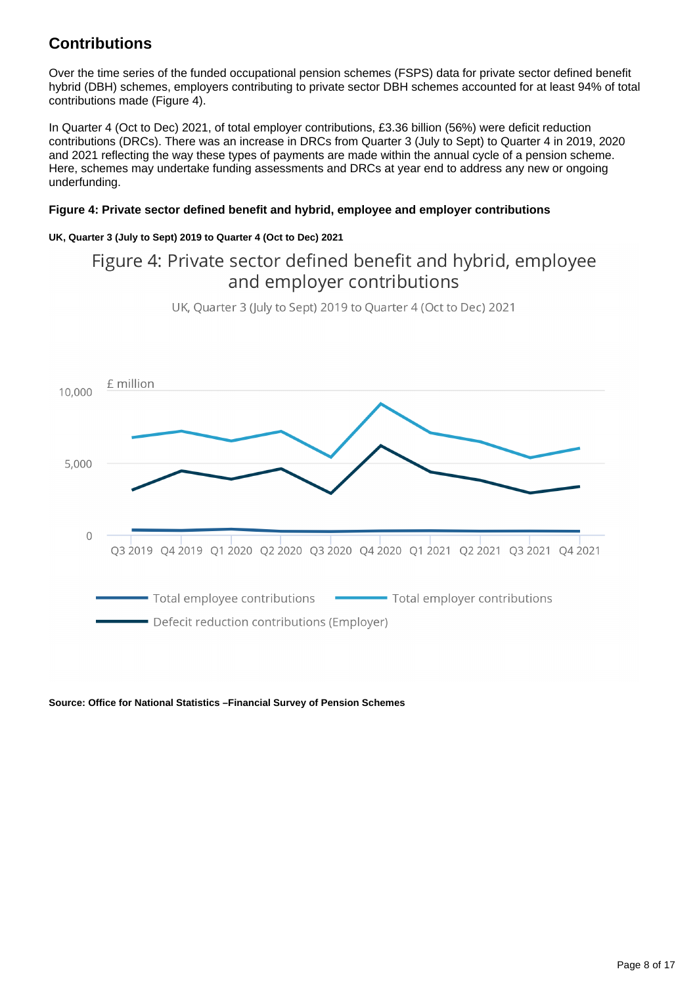## **Contributions**

Over the time series of the funded occupational pension schemes (FSPS) data for private sector defined benefit hybrid (DBH) schemes, employers contributing to private sector DBH schemes accounted for at least 94% of total contributions made (Figure 4).

In Quarter 4 (Oct to Dec) 2021, of total employer contributions, £3.36 billion (56%) were deficit reduction contributions (DRCs). There was an increase in DRCs from Quarter 3 (July to Sept) to Quarter 4 in 2019, 2020 and 2021 reflecting the way these types of payments are made within the annual cycle of a pension scheme. Here, schemes may undertake funding assessments and DRCs at year end to address any new or ongoing underfunding.

### **Figure 4: Private sector defined benefit and hybrid, employee and employer contributions**

### **UK, Quarter 3 (July to Sept) 2019 to Quarter 4 (Oct to Dec) 2021**

## Figure 4: Private sector defined benefit and hybrid, employee and employer contributions



UK, Quarter 3 (July to Sept) 2019 to Quarter 4 (Oct to Dec) 2021

### **Source: Office for National Statistics –Financial Survey of Pension Schemes**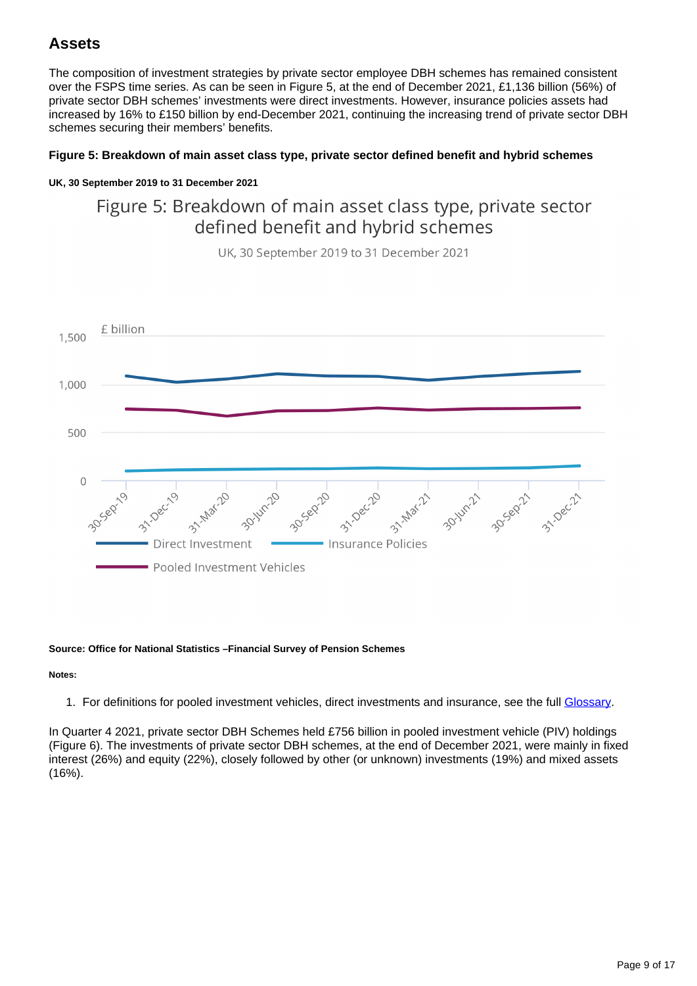## **Assets**

The composition of investment strategies by private sector employee DBH schemes has remained consistent over the FSPS time series. As can be seen in Figure 5, at the end of December 2021, £1,136 billion (56%) of private sector DBH schemes' investments were direct investments. However, insurance policies assets had increased by 16% to £150 billion by end-December 2021, continuing the increasing trend of private sector DBH schemes securing their members' benefits.

### **Figure 5: Breakdown of main asset class type, private sector defined benefit and hybrid schemes**

### **UK, 30 September 2019 to 31 December 2021**

## Figure 5: Breakdown of main asset class type, private sector defined benefit and hybrid schemes



UK. 30 September 2019 to 31 December 2021

#### **Source: Office for National Statistics –Financial Survey of Pension Schemes**

#### **Notes:**

1. For definitions for pooled investment vehicles, direct investments and insurance, see the full [Glossary](https://www.ons.gov.uk/economy/investmentspensionsandtrusts/bulletins/fundedoccupationalpensionschemesintheuk/octobertodecember2021#glossary).

In Quarter 4 2021, private sector DBH Schemes held £756 billion in pooled investment vehicle (PIV) holdings (Figure 6). The investments of private sector DBH schemes, at the end of December 2021, were mainly in fixed interest (26%) and equity (22%), closely followed by other (or unknown) investments (19%) and mixed assets (16%).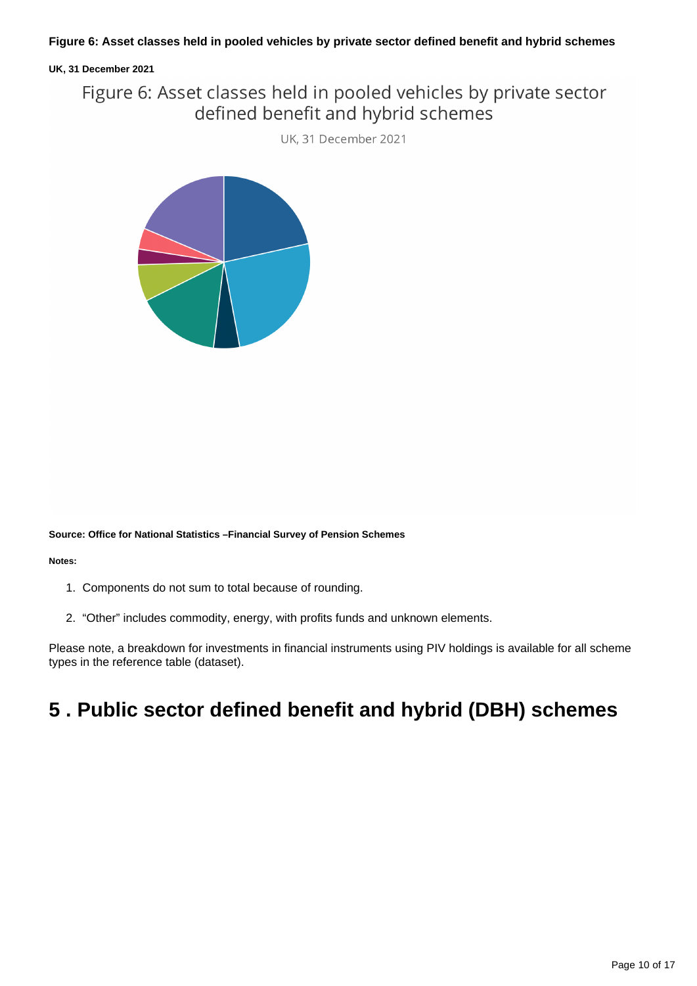### **UK, 31 December 2021**

## Figure 6: Asset classes held in pooled vehicles by private sector defined benefit and hybrid schemes

UK, 31 December 2021



**Source: Office for National Statistics –Financial Survey of Pension Schemes**

#### **Notes:**

- 1. Components do not sum to total because of rounding.
- 2. "Other" includes commodity, energy, with profits funds and unknown elements.

Please note, a breakdown for investments in financial instruments using PIV holdings is available for all scheme types in the reference table (dataset).

# <span id="page-9-0"></span>**5 . Public sector defined benefit and hybrid (DBH) schemes**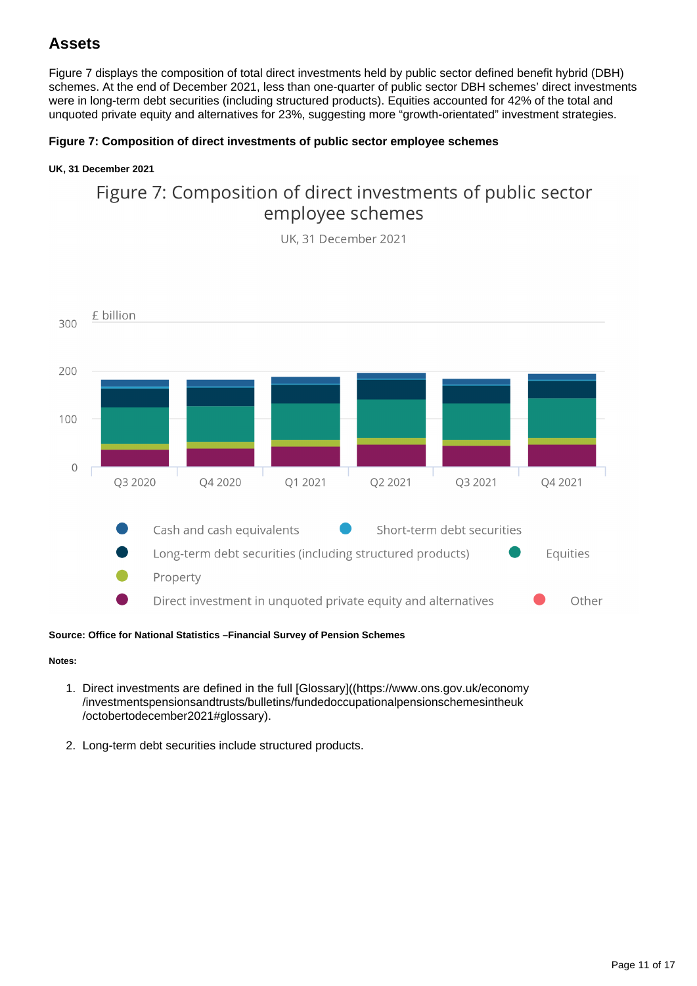## **Assets**

Figure 7 displays the composition of total direct investments held by public sector defined benefit hybrid (DBH) schemes. At the end of December 2021, less than one-quarter of public sector DBH schemes' direct investments were in long-term debt securities (including structured products). Equities accounted for 42% of the total and unquoted private equity and alternatives for 23%, suggesting more "growth-orientated" investment strategies.

### **Figure 7: Composition of direct investments of public sector employee schemes**

### **UK, 31 December 2021**

## Figure 7: Composition of direct investments of public sector employee schemes

UK. 31 December 2021



**Source: Office for National Statistics –Financial Survey of Pension Schemes**

#### **Notes:**

- 1. Direct investments are defined in the full [Glossary]((https://www.ons.gov.uk/economy /investmentspensionsandtrusts/bulletins/fundedoccupationalpensionschemesintheuk /octobertodecember2021#glossary).
- 2. Long-term debt securities include structured products.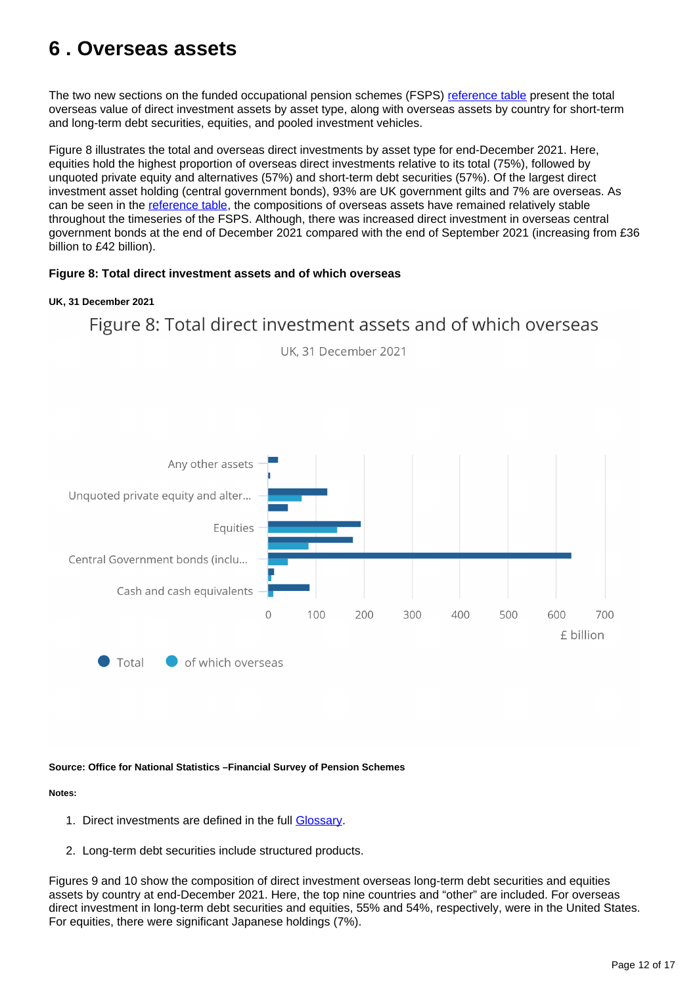# <span id="page-11-0"></span>**6 . Overseas assets**

The two new sections on the funded occupational pension schemes (FSPS) [reference table](https://www.ons.gov.uk/economy/investmentspensionsandtrusts/datasets/fundedoccupationalpensionschemesintheuk) present the total overseas value of direct investment assets by asset type, along with overseas assets by country for short-term and long-term debt securities, equities, and pooled investment vehicles.

Figure 8 illustrates the total and overseas direct investments by asset type for end-December 2021. Here, equities hold the highest proportion of overseas direct investments relative to its total (75%), followed by unquoted private equity and alternatives (57%) and short-term debt securities (57%). Of the largest direct investment asset holding (central government bonds), 93% are UK government gilts and 7% are overseas. As can be seen in the [reference table](https://www.ons.gov.uk/economy/investmentspensionsandtrusts/datasets/fundedoccupationalpensionschemesintheuk), the compositions of overseas assets have remained relatively stable throughout the timeseries of the FSPS. Although, there was increased direct investment in overseas central government bonds at the end of December 2021 compared with the end of September 2021 (increasing from £36 billion to £42 billion).

### **Figure 8: Total direct investment assets and of which overseas**

#### **UK, 31 December 2021**

# Figure 8: Total direct investment assets and of which overseas



UK, 31 December 2021

### **Source: Office for National Statistics –Financial Survey of Pension Schemes**

### **Notes:**

- 1. Direct investments are defined in the full [Glossary.](https://www.ons.gov.uk/economy/investmentspensionsandtrusts/bulletins/fundedoccupationalpensionschemesintheuk/octobertodecember2021#glossary)
- 2. Long-term debt securities include structured products.

Figures 9 and 10 show the composition of direct investment overseas long-term debt securities and equities assets by country at end-December 2021. Here, the top nine countries and "other" are included. For overseas direct investment in long-term debt securities and equities, 55% and 54%, respectively, were in the United States. For equities, there were significant Japanese holdings (7%).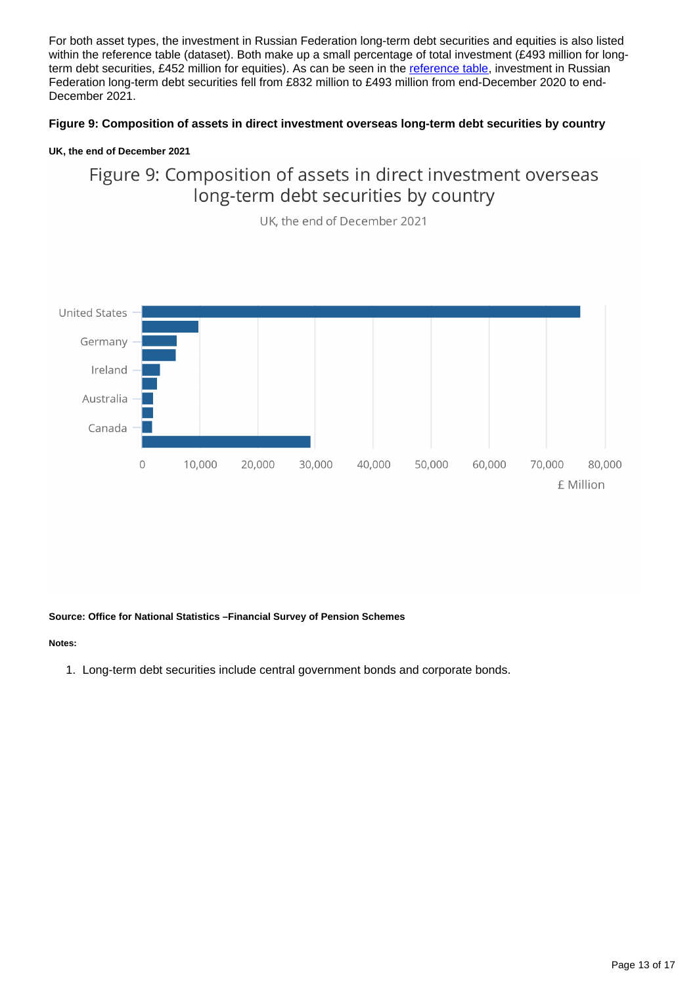For both asset types, the investment in Russian Federation long-term debt securities and equities is also listed within the reference table (dataset). Both make up a small percentage of total investment (£493 million for longterm debt securities, £452 million for equities). As can be seen in the [reference table](https://www.ons.gov.uk/economy/investmentspensionsandtrusts/datasets/fundedoccupationalpensionschemesintheuk), investment in Russian Federation long-term debt securities fell from £832 million to £493 million from end-December 2020 to end-December 2021.

### **Figure 9: Composition of assets in direct investment overseas long-term debt securities by country**

### **UK, the end of December 2021**

Figure 9: Composition of assets in direct investment overseas long-term debt securities by country



UK, the end of December 2021

#### **Source: Office for National Statistics –Financial Survey of Pension Schemes**

#### **Notes:**

1. Long-term debt securities include central government bonds and corporate bonds.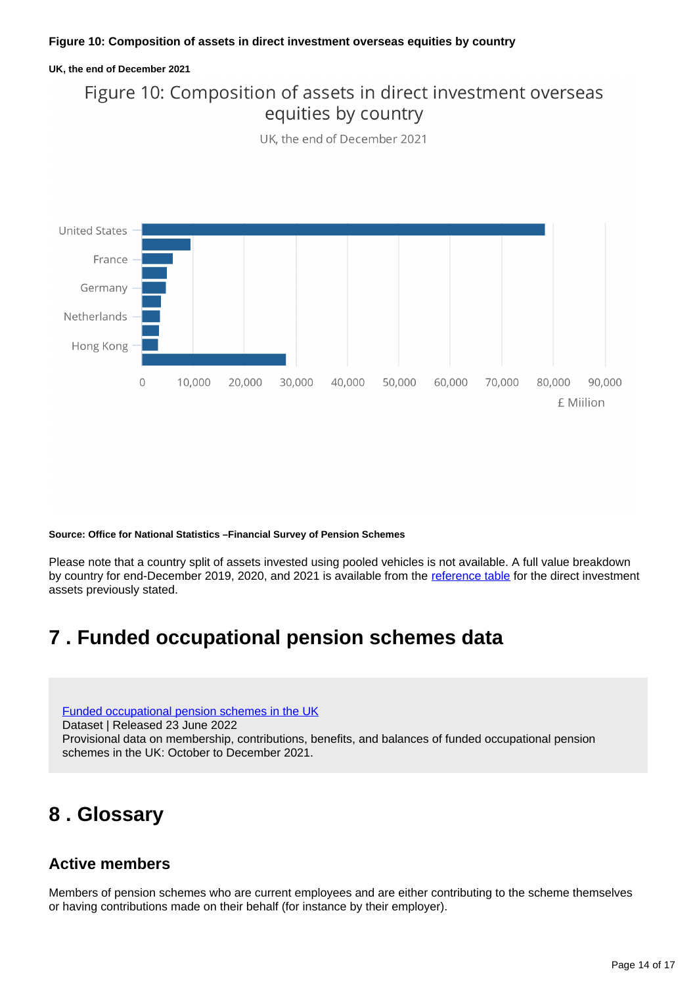### **UK, the end of December 2021**

## Figure 10: Composition of assets in direct investment overseas equities by country

UK, the end of December 2021



**Source: Office for National Statistics –Financial Survey of Pension Schemes**

Please note that a country split of assets invested using pooled vehicles is not available. A full value breakdown by country for end-December 2019, 2020, and 2021 is available from the [reference table](https://www.ons.gov.uk/economy/investmentspensionsandtrusts/datasets/fundedoccupationalpensionschemesintheuk) for the direct investment assets previously stated.

# <span id="page-13-0"></span>**7 . Funded occupational pension schemes data**

[Funded occupational pension schemes in the UK](https://www.ons.gov.uk/economy/investmentspensionsandtrusts/datasets/fundedoccupationalpensionschemesintheuk)

Dataset | Released 23 June 2022

Provisional data on membership, contributions, benefits, and balances of funded occupational pension schemes in the UK: October to December 2021.

## <span id="page-13-1"></span>**8 . Glossary**

### **Active members**

Members of pension schemes who are current employees and are either contributing to the scheme themselves or having contributions made on their behalf (for instance by their employer).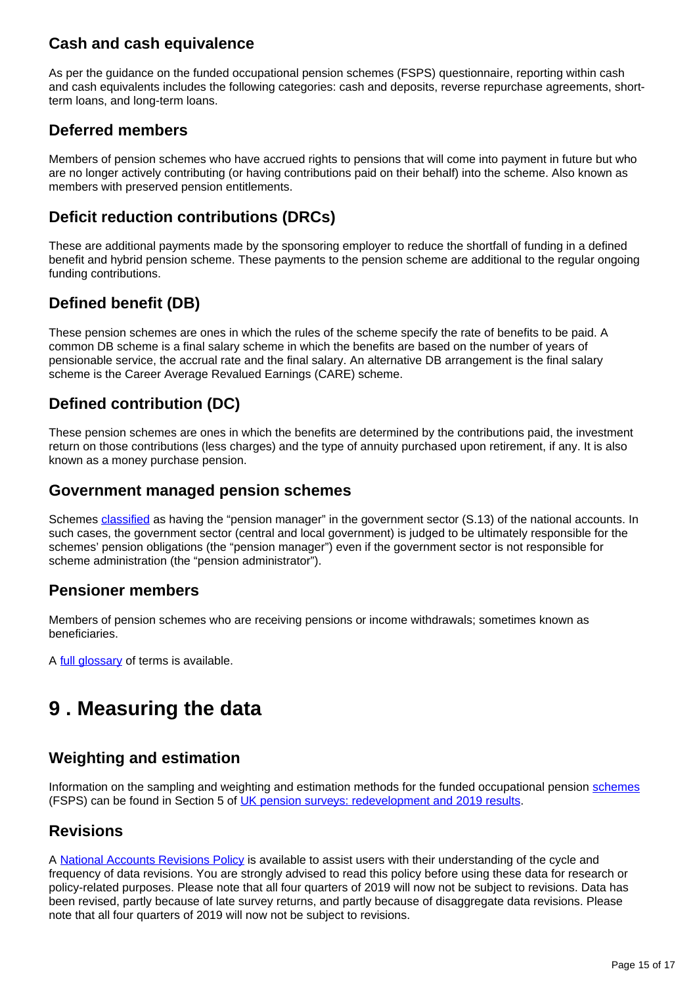### **Cash and cash equivalence**

As per the guidance on the funded occupational pension schemes (FSPS) questionnaire, reporting within cash and cash equivalents includes the following categories: cash and deposits, reverse repurchase agreements, shortterm loans, and long-term loans.

### **Deferred members**

Members of pension schemes who have accrued rights to pensions that will come into payment in future but who are no longer actively contributing (or having contributions paid on their behalf) into the scheme. Also known as members with preserved pension entitlements.

### **Deficit reduction contributions (DRCs)**

These are additional payments made by the sponsoring employer to reduce the shortfall of funding in a defined benefit and hybrid pension scheme. These payments to the pension scheme are additional to the regular ongoing funding contributions.

## **Defined benefit (DB)**

These pension schemes are ones in which the rules of the scheme specify the rate of benefits to be paid. A common DB scheme is a final salary scheme in which the benefits are based on the number of years of pensionable service, the accrual rate and the final salary. An alternative DB arrangement is the final salary scheme is the Career Average Revalued Earnings (CARE) scheme.

### **Defined contribution (DC)**

These pension schemes are ones in which the benefits are determined by the contributions paid, the investment return on those contributions (less charges) and the type of annuity purchased upon retirement, if any. It is also known as a money purchase pension.

### **Government managed pension schemes**

Schemes [classified](https://www.ons.gov.uk/methodology/classificationsandstandards/economicstatisticsclassifications/introductiontoeconomicstatisticsclassifications) as having the "pension manager" in the government sector (S.13) of the national accounts. In such cases, the government sector (central and local government) is judged to be ultimately responsible for the schemes' pension obligations (the "pension manager") even if the government sector is not responsible for scheme administration (the "pension administrator").

### **Pensioner members**

Members of pension schemes who are receiving pensions or income withdrawals; sometimes known as beneficiaries.

A [full glossary](https://www.ons.gov.uk/economy/investmentspensionsandtrusts/articles/ukpensionsurveys/redevelopmentand2019results#glossary) of terms is available.

# <span id="page-14-0"></span>**9 . Measuring the data**

### **Weighting and estimation**

Information on the sampling and weighting and estimation methods for the funded occupational pension [schemes](https://www.ons.gov.uk/economy/investmentspensionsandtrusts/datasets/fundedoccupationalpensionschemesintheuk) (FSPS) can be found in Section 5 of [UK pension surveys: redevelopment and 2019 results.](https://www.ons.gov.uk/economy/investmentspensionsandtrusts/articles/ukpensionsurveys/redevelopmentand2019results#survey-design)

### **Revisions**

A [National Accounts Revisions Policy](https://www.ons.gov.uk/methodology/methodologytopicsandstatisticalconcepts/revisions/revisionspoliciesforeconomicstatistics/nationalaccountsrevisionspolicyupdateddecember2017) is available to assist users with their understanding of the cycle and frequency of data revisions. You are strongly advised to read this policy before using these data for research or policy-related purposes. Please note that all four quarters of 2019 will now not be subject to revisions. Data has been revised, partly because of late survey returns, and partly because of disaggregate data revisions. Please note that all four quarters of 2019 will now not be subject to revisions.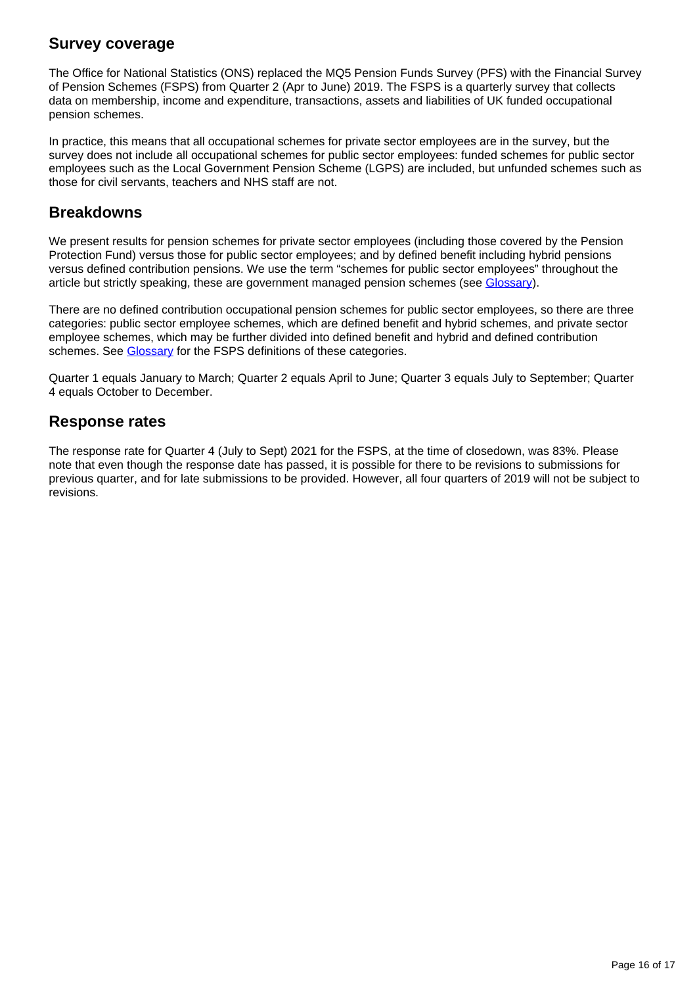### **Survey coverage**

The Office for National Statistics (ONS) replaced the MQ5 Pension Funds Survey (PFS) with the Financial Survey of Pension Schemes (FSPS) from Quarter 2 (Apr to June) 2019. The FSPS is a quarterly survey that collects data on membership, income and expenditure, transactions, assets and liabilities of UK funded occupational pension schemes.

In practice, this means that all occupational schemes for private sector employees are in the survey, but the survey does not include all occupational schemes for public sector employees: funded schemes for public sector employees such as the Local Government Pension Scheme (LGPS) are included, but unfunded schemes such as those for civil servants, teachers and NHS staff are not.

### **Breakdowns**

We present results for pension schemes for private sector employees (including those covered by the Pension Protection Fund) versus those for public sector employees; and by defined benefit including hybrid pensions versus defined contribution pensions. We use the term "schemes for public sector employees" throughout the article but strictly speaking, these are government managed pension schemes (see [Glossary\)](https://www.ons.gov.uk/economy/investmentspensionsandtrusts/articles/ukpensionsurveys/redevelopmentand2019results#glossary).

There are no defined contribution occupational pension schemes for public sector employees, so there are three categories: public sector employee schemes, which are defined benefit and hybrid schemes, and private sector employee schemes, which may be further divided into defined benefit and hybrid and defined contribution schemes. See [Glossary](https://www.ons.gov.uk/economy/investmentspensionsandtrusts/bulletins/fundedoccupationalpensionschemesintheuk/octobertodecember2021#glossary) for the FSPS definitions of these categories.

Quarter 1 equals January to March; Quarter 2 equals April to June; Quarter 3 equals July to September; Quarter 4 equals October to December.

### **Response rates**

The response rate for Quarter 4 (July to Sept) 2021 for the FSPS, at the time of closedown, was 83%. Please note that even though the response date has passed, it is possible for there to be revisions to submissions for previous quarter, and for late submissions to be provided. However, all four quarters of 2019 will not be subject to revisions.